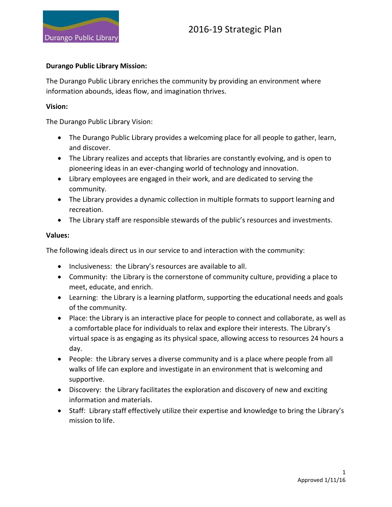

#### **Durango Public Library Mission:**

The Durango Public Library enriches the community by providing an environment where information abounds, ideas flow, and imagination thrives.

#### **Vision:**

The Durango Public Library Vision:

- The Durango Public Library provides a welcoming place for all people to gather, learn, and discover.
- The Library realizes and accepts that libraries are constantly evolving, and is open to pioneering ideas in an ever-changing world of technology and innovation.
- Library employees are engaged in their work, and are dedicated to serving the community.
- The Library provides a dynamic collection in multiple formats to support learning and recreation.
- The Library staff are responsible stewards of the public's resources and investments.

#### **Values:**

The following ideals direct us in our service to and interaction with the community:

- Inclusiveness: the Library's resources are available to all.
- Community: the Library is the cornerstone of community culture, providing a place to meet, educate, and enrich.
- Learning: the Library is a learning platform, supporting the educational needs and goals of the community.
- Place: the Library is an interactive place for people to connect and collaborate, as well as a comfortable place for individuals to relax and explore their interests. The Library's virtual space is as engaging as its physical space, allowing access to resources 24 hours a day.
- People: the Library serves a diverse community and is a place where people from all walks of life can explore and investigate in an environment that is welcoming and supportive.
- Discovery: the Library facilitates the exploration and discovery of new and exciting information and materials.
- Staff: Library staff effectively utilize their expertise and knowledge to bring the Library's mission to life.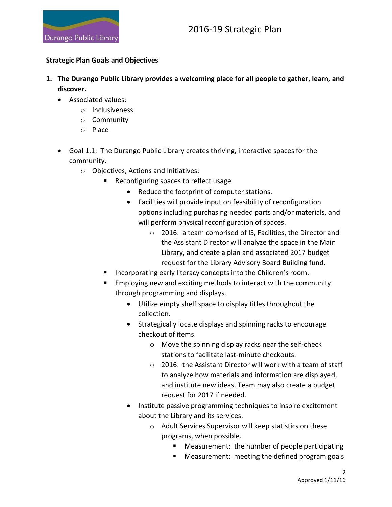

#### **Strategic Plan Goals and Objectives**

- **1. The Durango Public Library provides a welcoming place for all people to gather, learn, and discover.**
	- Associated values:
		- o Inclusiveness
		- o Community
		- o Place
	- Goal 1.1: The Durango Public Library creates thriving, interactive spaces for the community.
		- o Objectives, Actions and Initiatives:
			- Reconfiguring spaces to reflect usage.
				- Reduce the footprint of computer stations.
				- Facilities will provide input on feasibility of reconfiguration options including purchasing needed parts and/or materials, and will perform physical reconfiguration of spaces.
					- o 2016: a team comprised of IS, Facilities, the Director and the Assistant Director will analyze the space in the Main Library, and create a plan and associated 2017 budget request for the Library Advisory Board Building fund.
			- Incorporating early literacy concepts into the Children's room.
			- Employing new and exciting methods to interact with the community through programming and displays.
				- Utilize empty shelf space to display titles throughout the collection.
				- Strategically locate displays and spinning racks to encourage checkout of items.
					- o Move the spinning display racks near the self-check stations to facilitate last-minute checkouts.
					- o 2016: the Assistant Director will work with a team of staff to analyze how materials and information are displayed, and institute new ideas. Team may also create a budget request for 2017 if needed.
				- Institute passive programming techniques to inspire excitement about the Library and its services.
					- o Adult Services Supervisor will keep statistics on these programs, when possible.
						- Measurement: the number of people participating
						- Measurement: meeting the defined program goals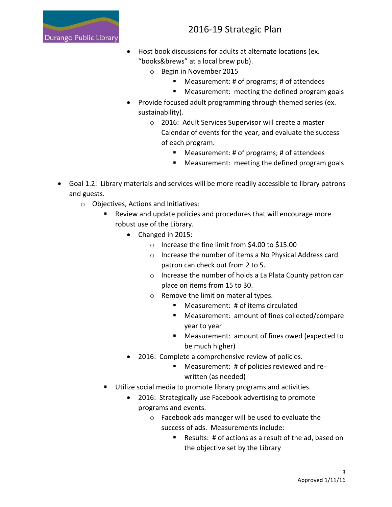

- Host book discussions for adults at alternate locations (ex. "books&brews" at a local brew pub).
	- o Begin in November 2015
		- Measurement: # of programs; # of attendees
		- **Measurement: meeting the defined program goals**
- Provide focused adult programming through themed series (ex. sustainability).
	- o 2016: Adult Services Supervisor will create a master Calendar of events for the year, and evaluate the success of each program.
		- Measurement: # of programs; # of attendees
		- **Measurement: meeting the defined program goals**
- Goal 1.2: Library materials and services will be more readily accessible to library patrons and guests.
	- o Objectives, Actions and Initiatives:
		- Review and update policies and procedures that will encourage more robust use of the Library.
			- Changed in 2015:
				- o Increase the fine limit from \$4.00 to \$15.00
				- o Increase the number of items a No Physical Address card patron can check out from 2 to 5.
				- o Increase the number of holds a La Plata County patron can place on items from 15 to 30.
				- o Remove the limit on material types.
					- Measurement: # of items circulated
					- Measurement: amount of fines collected/compare year to year
					- Measurement: amount of fines owed (expected to be much higher)
			- 2016: Complete a comprehensive review of policies.
				- Measurement: # of policies reviewed and rewritten (as needed)
		- Utilize social media to promote library programs and activities.
			- 2016: Strategically use Facebook advertising to promote programs and events.
				- o Facebook ads manager will be used to evaluate the success of ads. Measurements include:
					- Results: # of actions as a result of the ad, based on the objective set by the Library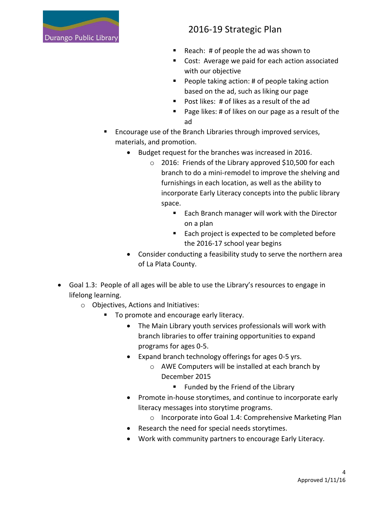

- Reach:  $#$  of people the ad was shown to
- Cost: Average we paid for each action associated with our objective
- **People taking action: # of people taking action** based on the ad, such as liking our page
- Post likes: # of likes as a result of the ad
- Page likes: # of likes on our page as a result of the ad
- **Encourage use of the Branch Libraries through improved services,** materials, and promotion.
	- Budget request for the branches was increased in 2016.
		- o 2016: Friends of the Library approved \$10,500 for each branch to do a mini-remodel to improve the shelving and furnishings in each location, as well as the ability to incorporate Early Literacy concepts into the public library space.
			- **Each Branch manager will work with the Director** on a plan
			- Each project is expected to be completed before the 2016-17 school year begins
	- Consider conducting a feasibility study to serve the northern area of La Plata County.
- Goal 1.3: People of all ages will be able to use the Library's resources to engage in lifelong learning.
	- o Objectives, Actions and Initiatives:
		- To promote and encourage early literacy.
			- The Main Library youth services professionals will work with branch libraries to offer training opportunities to expand programs for ages 0-5.
			- Expand branch technology offerings for ages 0-5 yrs.
				- o AWE Computers will be installed at each branch by December 2015
					- **Funded by the Friend of the Library**
			- Promote in-house storytimes, and continue to incorporate early literacy messages into storytime programs.
				- o Incorporate into Goal 1.4: Comprehensive Marketing Plan
			- Research the need for special needs storytimes.
			- Work with community partners to encourage Early Literacy.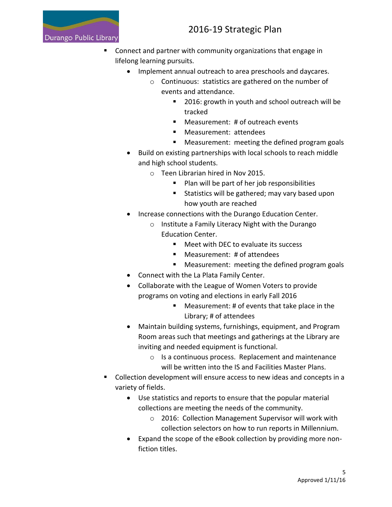

- Connect and partner with community organizations that engage in lifelong learning pursuits.
	- Implement annual outreach to area preschools and daycares.
		- o Continuous: statistics are gathered on the number of events and attendance.
			- 2016: growth in youth and school outreach will be tracked
			- Measurement: # of outreach events
			- **Neasurement: attendees**
			- **Measurement: meeting the defined program goals**
	- Build on existing partnerships with local schools to reach middle and high school students.
		- o Teen Librarian hired in Nov 2015.
			- **Plan will be part of her job responsibilities**
			- **Statistics will be gathered; may vary based upon** how youth are reached
	- Increase connections with the Durango Education Center.
		- o Institute a Family Literacy Night with the Durango Education Center.
			- Meet with DFC to evaluate its success
			- Measurement: # of attendees
			- **Measurement: meeting the defined program goals**
	- Connect with the La Plata Family Center.
	- Collaborate with the League of Women Voters to provide programs on voting and elections in early Fall 2016
		- Measurement: # of events that take place in the Library; # of attendees
	- Maintain building systems, furnishings, equipment, and Program Room areas such that meetings and gatherings at the Library are inviting and needed equipment is functional.
		- o Is a continuous process. Replacement and maintenance will be written into the IS and Facilities Master Plans.
- Collection development will ensure access to new ideas and concepts in a variety of fields.
	- Use statistics and reports to ensure that the popular material collections are meeting the needs of the community.
		- o 2016: Collection Management Supervisor will work with collection selectors on how to run reports in Millennium.
	- Expand the scope of the eBook collection by providing more nonfiction titles.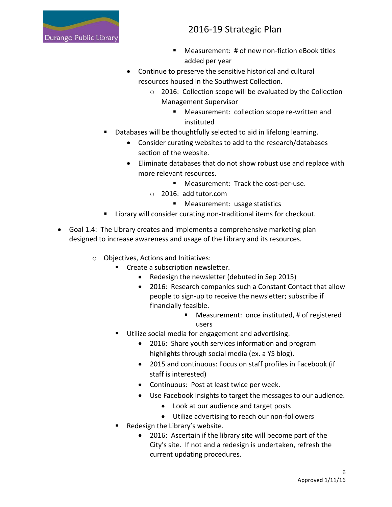

- Measurement: # of new non-fiction eBook titles added per year
- Continue to preserve the sensitive historical and cultural resources housed in the Southwest Collection.
	- o 2016: Collection scope will be evaluated by the Collection Management Supervisor
		- **Measurement: collection scope re-written and** instituted
- Databases will be thoughtfully selected to aid in lifelong learning.
	- Consider curating websites to add to the research/databases section of the website.
	- Eliminate databases that do not show robust use and replace with more relevant resources.
		- Measurement: Track the cost-per-use.
		- o 2016: add tutor.com
			- **Measurement: usage statistics**
- Library will consider curating non-traditional items for checkout.
- Goal 1.4: The Library creates and implements a comprehensive marketing plan designed to increase awareness and usage of the Library and its resources.
	- o Objectives, Actions and Initiatives:
		- **EXECTE 2 SUBSCRIPTION CONCRETERATE:** 
			- Redesign the newsletter (debuted in Sep 2015)
			- 2016: Research companies such a Constant Contact that allow people to sign-up to receive the newsletter; subscribe if financially feasible.
				- Measurement: once instituted, # of registered users
		- **Utilize social media for engagement and advertising.** 
			- 2016: Share youth services information and program highlights through social media (ex. a YS blog).
			- 2015 and continuous: Focus on staff profiles in Facebook (if staff is interested)
			- Continuous: Post at least twice per week.
			- Use Facebook Insights to target the messages to our audience.
				- Look at our audience and target posts
				- Utilize advertising to reach our non-followers
		- Redesign the Library's website.
			- 2016: Ascertain if the library site will become part of the City's site. If not and a redesign is undertaken, refresh the current updating procedures.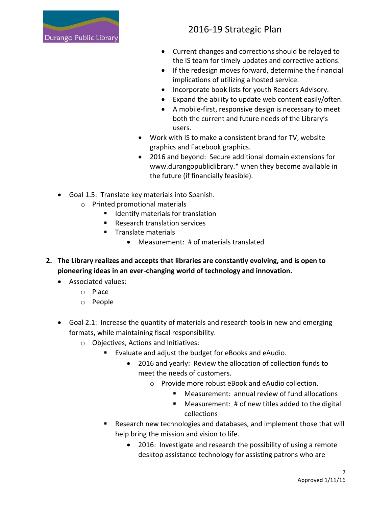

- Current changes and corrections should be relayed to the IS team for timely updates and corrective actions.
- If the redesign moves forward, determine the financial implications of utilizing a hosted service.
- Incorporate book lists for youth Readers Advisory.
- Expand the ability to update web content easily/often.
- A mobile-first, responsive design is necessary to meet both the current and future needs of the Library's users.
- Work with IS to make a consistent brand for TV, website graphics and Facebook graphics.
- 2016 and beyond: Secure additional domain extensions for www.durangopubliclibrary.\* when they become available in the future (if financially feasible).
- Goal 1.5: Translate key materials into Spanish.
	- o Printed promotional materials
		- **If** Identify materials for translation
		- Research translation services
		- Translate materials
			- Measurement: # of materials translated
- **2. The Library realizes and accepts that libraries are constantly evolving, and is open to pioneering ideas in an ever-changing world of technology and innovation.**
	- Associated values:
		- o Place
		- o People
	- Goal 2.1: Increase the quantity of materials and research tools in new and emerging formats, while maintaining fiscal responsibility.
		- o Objectives, Actions and Initiatives:
			- Evaluate and adjust the budget for eBooks and eAudio.
				- 2016 and yearly: Review the allocation of collection funds to meet the needs of customers.
					- o Provide more robust eBook and eAudio collection.
						- Measurement: annual review of fund allocations
						- Measurement: # of new titles added to the digital collections
			- Research new technologies and databases, and implement those that will help bring the mission and vision to life.
				- 2016: Investigate and research the possibility of using a remote desktop assistance technology for assisting patrons who are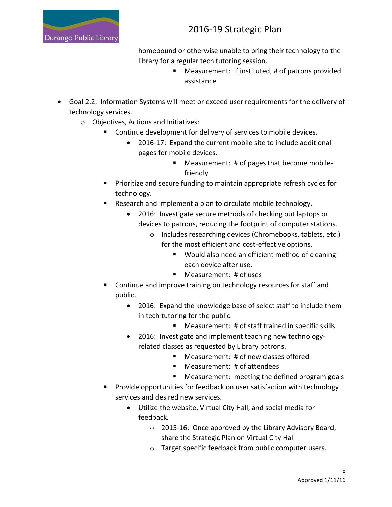

homebound or otherwise unable to bring their technology to the library for a regular tech tutoring session.

- Measurement: if instituted, # of patrons provided assistance
- Goal 2.2: Information Systems will meet or exceed user requirements for the delivery of technology services.
	- o Objectives, Actions and Initiatives:
		- Continue development for delivery of services to mobile devices.
			- 2016-17: Expand the current mobile site to include additional pages for mobile devices.
				- Measurement: # of pages that become mobilefriendly
		- **Prioritize and secure funding to maintain appropriate refresh cycles for** technology.
		- **EXE** Research and implement a plan to circulate mobile technology.
			- 2016: Investigate secure methods of checking out laptops or devices to patrons, reducing the footprint of computer stations.
				- o Includes researching devices (Chromebooks, tablets, etc.) for the most efficient and cost-effective options.
					- Would also need an efficient method of cleaning each device after use.
					- Measurement: # of uses
		- **Continue and improve training on technology resources for staff and** public.
			- 2016: Expand the knowledge base of select staff to include them in tech tutoring for the public.
				- Measurement: # of staff trained in specific skills
			- 2016: Investigate and implement teaching new technologyrelated classes as requested by Library patrons.
				- Measurement: # of new classes offered
				- Measurement: # of attendees
				- **Measurement: meeting the defined program goals**
		- **Provide opportunities for feedback on user satisfaction with technology** services and desired new services.
			- Utilize the website, Virtual City Hall, and social media for feedback.
				- o 2015-16: Once approved by the Library Advisory Board, share the Strategic Plan on Virtual City Hall
				- o Target specific feedback from public computer users.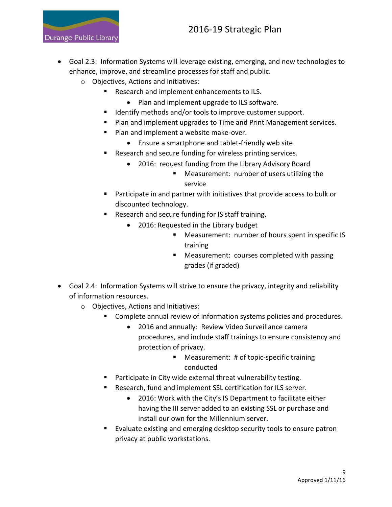Durango Public Library

- Goal 2.3: Information Systems will leverage existing, emerging, and new technologies to enhance, improve, and streamline processes for staff and public.
	- o Objectives, Actions and Initiatives:
		- Research and implement enhancements to ILS.
			- Plan and implement upgrade to ILS software.
		- Identify methods and/or tools to improve customer support.
		- Plan and implement upgrades to Time and Print Management services.
		- Plan and implement a website make-over.
			- Ensure a smartphone and tablet-friendly web site
		- Research and secure funding for wireless printing services.
			- 2016: request funding from the Library Advisory Board
				- Measurement: number of users utilizing the service
		- Participate in and partner with initiatives that provide access to bulk or discounted technology.
		- Research and secure funding for IS staff training.
			- 2016: Requested in the Library budget
				- **Measurement: number of hours spent in specific IS** training
				- **Measurement: courses completed with passing** grades (if graded)
- Goal 2.4: Information Systems will strive to ensure the privacy, integrity and reliability of information resources.
	- o Objectives, Actions and Initiatives:
		- **Complete annual review of information systems policies and procedures.** 
			- 2016 and annually: Review Video Surveillance camera procedures, and include staff trainings to ensure consistency and protection of privacy.
				- Measurement: # of topic-specific training conducted
		- Participate in City wide external threat vulnerability testing.
		- Research, fund and implement SSL certification for ILS server.
			- 2016: Work with the City's IS Department to facilitate either having the III server added to an existing SSL or purchase and install our own for the Millennium server.
		- Evaluate existing and emerging desktop security tools to ensure patron privacy at public workstations.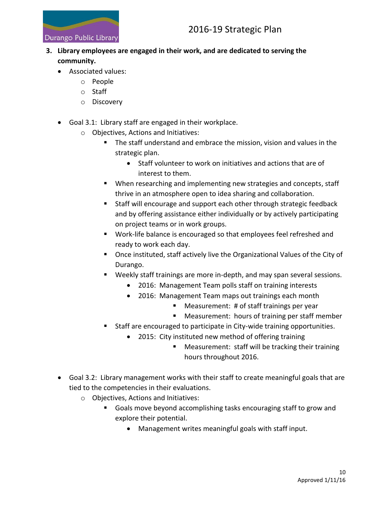

### **3. Library employees are engaged in their work, and are dedicated to serving the community.**

- Associated values:
	- o People
	- o Staff
	- o Discovery
- Goal 3.1: Library staff are engaged in their workplace.
	- o Objectives, Actions and Initiatives:
		- The staff understand and embrace the mission, vision and values in the strategic plan.
			- Staff volunteer to work on initiatives and actions that are of interest to them.
		- When researching and implementing new strategies and concepts, staff thrive in an atmosphere open to idea sharing and collaboration.
		- Staff will encourage and support each other through strategic feedback and by offering assistance either individually or by actively participating on project teams or in work groups.
		- Work-life balance is encouraged so that employees feel refreshed and ready to work each day.
		- Once instituted, staff actively live the Organizational Values of the City of Durango.
		- Weekly staff trainings are more in-depth, and may span several sessions.
			- 2016: Management Team polls staff on training interests
			- 2016: Management Team maps out trainings each month
				- **Measurement: # of staff trainings per year**
				- Measurement: hours of training per staff member
		- Staff are encouraged to participate in City-wide training opportunities.
			- 2015: City instituted new method of offering training
				- **Measurement: staff will be tracking their training** hours throughout 2016.
- Goal 3.2: Library management works with their staff to create meaningful goals that are tied to the competencies in their evaluations.
	- o Objectives, Actions and Initiatives:
		- Goals move beyond accomplishing tasks encouraging staff to grow and explore their potential.
			- Management writes meaningful goals with staff input.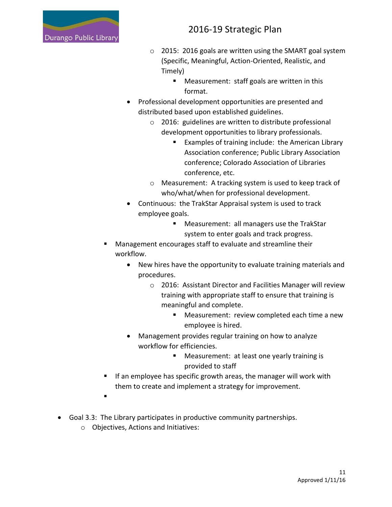

- o 2015: 2016 goals are written using the SMART goal system (Specific, Meaningful, Action-Oriented, Realistic, and Timely)
	- **Measurement: staff goals are written in this** format.
- Professional development opportunities are presented and distributed based upon established guidelines.
	- o 2016: guidelines are written to distribute professional development opportunities to library professionals.
		- **Examples of training include: the American Library** Association conference; Public Library Association conference; Colorado Association of Libraries conference, etc.
	- o Measurement: A tracking system is used to keep track of who/what/when for professional development.
- Continuous: the TrakStar Appraisal system is used to track employee goals.
	- Measurement: all managers use the TrakStar system to enter goals and track progress.
- Management encourages staff to evaluate and streamline their workflow.
	- New hires have the opportunity to evaluate training materials and procedures.
		- o 2016: Assistant Director and Facilities Manager will review training with appropriate staff to ensure that training is meaningful and complete.
			- **Measurement: review completed each time a new** employee is hired.
	- Management provides regular training on how to analyze workflow for efficiencies.
		- Measurement: at least one yearly training is provided to staff
- If an employee has specific growth areas, the manager will work with them to create and implement a strategy for improvement.
- .
- Goal 3.3: The Library participates in productive community partnerships.
	- o Objectives, Actions and Initiatives: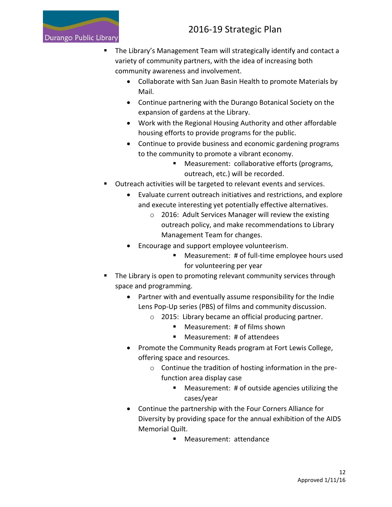

- The Library's Management Team will strategically identify and contact a variety of community partners, with the idea of increasing both community awareness and involvement.
	- Collaborate with San Juan Basin Health to promote Materials by Mail.
	- Continue partnering with the Durango Botanical Society on the expansion of gardens at the Library.
	- Work with the Regional Housing Authority and other affordable housing efforts to provide programs for the public.
	- Continue to provide business and economic gardening programs to the community to promote a vibrant economy.
		- **Measurement: collaborative efforts (programs,** outreach, etc.) will be recorded.
- **Dutreach activities will be targeted to relevant events and services.** 
	- Evaluate current outreach initiatives and restrictions, and explore and execute interesting yet potentially effective alternatives.
		- o 2016: Adult Services Manager will review the existing outreach policy, and make recommendations to Library Management Team for changes.
	- Encourage and support employee volunteerism.
		- Measurement: # of full-time employee hours used for volunteering per year
- The Library is open to promoting relevant community services through space and programming.
	- Partner with and eventually assume responsibility for the Indie Lens Pop-Up series (PBS) of films and community discussion.
		- o 2015: Library became an official producing partner.
			- Measurement: # of films shown
			- Measurement: # of attendees
	- Promote the Community Reads program at Fort Lewis College, offering space and resources.
		- o Continue the tradition of hosting information in the prefunction area display case
			- Measurement: # of outside agencies utilizing the cases/year
	- Continue the partnership with the Four Corners Alliance for Diversity by providing space for the annual exhibition of the AIDS Memorial Quilt.
		- **Measurement: attendance**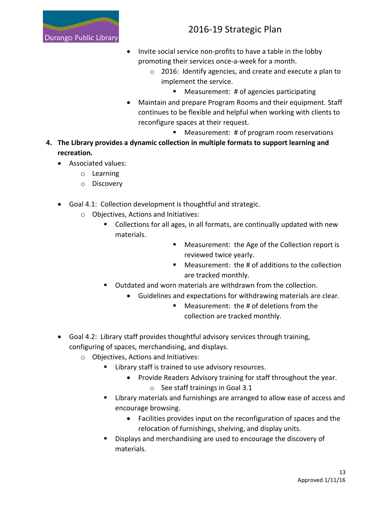

- Invite social service non-profits to have a table in the lobby promoting their services once-a-week for a month.
	- o 2016: Identify agencies, and create and execute a plan to implement the service.
		- Measurement: # of agencies participating
- Maintain and prepare Program Rooms and their equipment. Staff continues to be flexible and helpful when working with clients to reconfigure spaces at their request.
	- Measurement: # of program room reservations
- **4. The Library provides a dynamic collection in multiple formats to support learning and recreation.**
	- Associated values:
		- o Learning
		- o Discovery
	- Goal 4.1: Collection development is thoughtful and strategic.
		- o Objectives, Actions and Initiatives:
			- Collections for all ages, in all formats, are continually updated with new materials.
				- **Measurement: the Age of the Collection report is** reviewed twice yearly.
				- Measurement: the # of additions to the collection are tracked monthly.
			- Outdated and worn materials are withdrawn from the collection.
				- Guidelines and expectations for withdrawing materials are clear.
					- Measurement: the # of deletions from the collection are tracked monthly.
	- Goal 4.2: Library staff provides thoughtful advisory services through training, configuring of spaces, merchandising, and displays.
		- o Objectives, Actions and Initiatives:
			- Library staff is trained to use advisory resources.
				- Provide Readers Advisory training for staff throughout the year.
					- o See staff trainings in Goal 3.1
			- **EXTERGHLIFE III III EXET** Library materials and furnishings are arranged to allow ease of access and encourage browsing.
				- Facilities provides input on the reconfiguration of spaces and the relocation of furnishings, shelving, and display units.
			- Displays and merchandising are used to encourage the discovery of materials.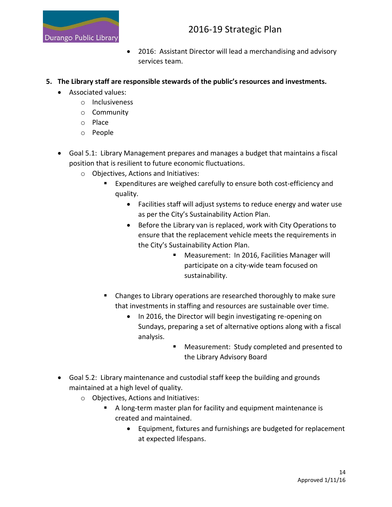

- 2016: Assistant Director will lead a merchandising and advisory services team.
- **5. The Library staff are responsible stewards of the public's resources and investments.**
	- Associated values:
		- o Inclusiveness
		- o Community
		- o Place
		- o People
	- Goal 5.1: Library Management prepares and manages a budget that maintains a fiscal position that is resilient to future economic fluctuations.
		- o Objectives, Actions and Initiatives:
			- Expenditures are weighed carefully to ensure both cost-efficiency and quality.
				- Facilities staff will adjust systems to reduce energy and water use as per the City's Sustainability Action Plan.
				- Before the Library van is replaced, work with City Operations to ensure that the replacement vehicle meets the requirements in the City's Sustainability Action Plan.
					- **Measurement: In 2016, Facilities Manager will** participate on a city-wide team focused on sustainability.
			- Changes to Library operations are researched thoroughly to make sure that investments in staffing and resources are sustainable over time.
				- In 2016, the Director will begin investigating re-opening on Sundays, preparing a set of alternative options along with a fiscal analysis.
					- **Measurement: Study completed and presented to** the Library Advisory Board
	- Goal 5.2: Library maintenance and custodial staff keep the building and grounds maintained at a high level of quality.
		- o Objectives, Actions and Initiatives:
			- A long-term master plan for facility and equipment maintenance is created and maintained.
				- Equipment, fixtures and furnishings are budgeted for replacement at expected lifespans.